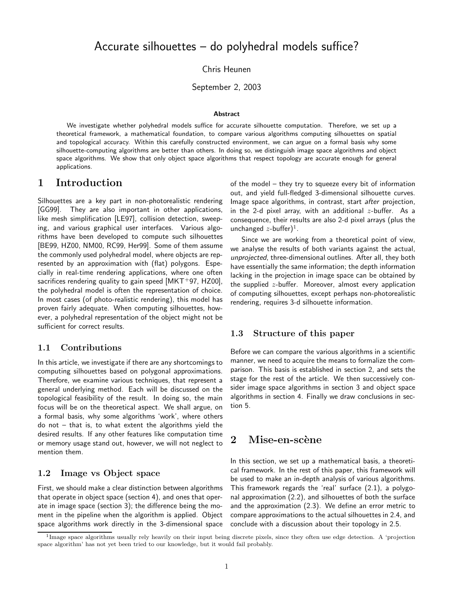Chris Heunen

September 2, 2003

#### **Abstract**

We investigate whether polyhedral models suffice for accurate silhouette computation. Therefore, we set up a theoretical framework, a mathematical foundation, to compare various algorithms computing silhouettes on spatial and topological accuracy. Within this carefully constructed environment, we can argue on a formal basis why some silhouette-computing algorithms are better than others. In doing so, we distinguish image space algorithms and object space algorithms. We show that only object space algorithms that respect topology are accurate enough for general applications.

# 1 Introduction

Silhouettes are a key part in non-photorealistic rendering [GG99]. They are also important in other applications, like mesh simplification [LE97], collision detection, sweeping, and various graphical user interfaces. Various algorithms have been developed to compute such silhouettes [BE99, HZ00, NM00, RC99, Her99]. Some of them assume the commonly used polyhedral model, where objects are represented by an approximation with (flat) polygons. Especially in real-time rendering applications, where one often sacrifices rendering quality to gain speed  $[MKT+97, HZ00]$ , the polyhedral model is often the representation of choice. In most cases (of photo-realistic rendering), this model has proven fairly adequate. When computing silhouettes, however, a polyhedral representation of the object might not be sufficient for correct results.

## 1.1 Contributions

In this article, we investigate if there are any shortcomings to computing silhouettes based on polygonal approximations. Therefore, we examine various techniques, that represent a general underlying method. Each will be discussed on the topological feasibility of the result. In doing so, the main focus will be on the theoretical aspect. We shall argue, on a formal basis, why some algorithms 'work', where others do not – that is, to what extent the algorithms yield the desired results. If any other features like computation time or memory usage stand out, however, we will not neglect to mention them.

### 1.2 Image vs Object space

First, we should make a clear distinction between algorithms that operate in object space (section 4), and ones that operate in image space (section 3); the difference being the moment in the pipeline when the algorithm is applied. Object space algorithms work directly in the 3-dimensional space

of the model – they try to squeeze every bit of information out, and yield full-fledged 3-dimensional silhouette curves. Image space algorithms, in contrast, start after projection, in the 2-d pixel array, with an additional  $z$ -buffer. As a consequence, their results are also 2-d pixel arrays (plus the unchanged  $z$ -buffer)<sup>1</sup>.

Since we are working from a theoretical point of view, we analyse the results of both variants against the actual, unprojected, three-dimensional outlines. After all, they both have essentially the same information; the depth information lacking in the projection in image space can be obtained by the supplied z-buffer. Moreover, almost every application of computing silhouettes, except perhaps non-photorealistic rendering, requires 3-d silhouette information.

### 1.3 Structure of this paper

Before we can compare the various algorithms in a scientific manner, we need to acquire the means to formalize the comparison. This basis is established in section 2, and sets the stage for the rest of the article. We then successively consider image space algorithms in section 3 and object space algorithms in section 4. Finally we draw conclusions in section 5.

# $2\quad$  Mise-en-scène

In this section, we set up a mathematical basis, a theoretical framework. In the rest of this paper, this framework will be used to make an in-depth analysis of various algorithms. This framework regards the 'real' surface (2.1), a polygonal approximation (2.2), and silhouettes of both the surface and the approximation (2.3). We define an error metric to compare approximations to the actual silhouettes in 2.4, and conclude with a discussion about their topology in 2.5.

<sup>&</sup>lt;sup>1</sup>Image space algorithms usually rely heavily on their input being discrete pixels, since they often use edge detection. A 'projection space algorithm' has not yet been tried to our knowledge, but it would fail probably.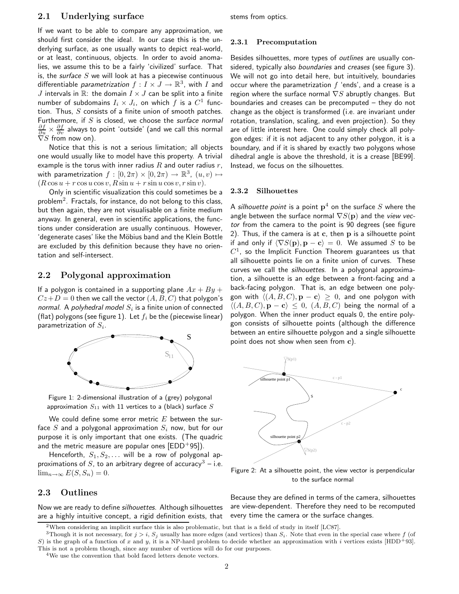## 2.1 Underlying surface

If we want to be able to compare any approximation, we should first consider the ideal. In our case this is the underlying surface, as one usually wants to depict real-world, or at least, continuous, objects. In order to avoid anomalies, we assume this to be a fairly 'civilized' surface. That is, the surface  $S$  we will look at has a piecewise continuous differentiable *parametrization*  $f: I \times J \to \mathbb{R}^3$ , with I and  $J$  intervals in  $\mathbb{R}$ : the domain  $I \times J$  can be split into a finite number of subdomains  $I_i \times J_i$ , on which f is a  $C^1$  function. Thus,  $S$  consists of a finite union of smooth patches. Furthermore, if  $S$  is closed, we choose the surface normal  $\frac{\partial f}{\partial u}\times \frac{\partial f}{\partial v}$  always to point 'outside' (and we call this normal  $\nabla S$  from now on).

Notice that this is not a serious limitation; all objects one would usually like to model have this property. A trivial example is the torus with inner radius  $R$  and outer radius  $r$ , with parametrization  $f : [0, 2\pi) \times [0, 2\pi) \rightarrow \mathbb{R}^3$ ,  $(u, v) \mapsto$  $(R \cos u + r \cos u \cos v, R \sin u + r \sin u \cos v, r \sin v).$ 

Only in scientific visualization this could sometimes be a problem $^2$ . Fractals, for instance, do not belong to this class, but then again, they are not visualisable on a finite medium anyway. In general, even in scientific applications, the functions under consideration are usually continuous. However, 'degenerate cases' like the M¨obius band and the Klein Bottle are excluded by this definition because they have no orientation and self-intersect.

### 2.2 Polygonal approximation

If a polygon is contained in a supporting plane  $Ax + By +$  $Cz+D=0$  then we call the vector  $(A, B, C)$  that polygon's normal. A polyhedral model  $S_i$  is a finite union of connected (flat) polygons (see figure 1). Let  $f_i$  be the (piecewise linear) parametrization of  $S_i$ .



Figure 1: 2-dimensional illustration of a (grey) polygonal approximation  $S_{11}$  with 11 vertices to a (black) surface  $S$ 

We could define some error metric  $E$  between the surface S and a polygonal approximation  $S_i$  now, but for our purpose it is only important that one exists. (The quadric and the metric measure are popular ones  $[EDD+95]$ ).

Henceforth,  $S_1, S_2, \ldots$  will be a row of polygonal approximations of S, to an arbitrary degree of accuracy<sup>3</sup> – i.e.  $\lim_{n\to\infty} E(S, S_n) = 0.$ 

## 2.3 Outlines

Now we are ready to define silhouettes. Although silhouettes are a highly intuitive concept, a rigid definition exists, that stems from optics.

#### 2.3.1 Precomputation

Besides silhouettes, more types of outlines are usually considered, typically also *boundaries* and *creases* (see figure 3). We will not go into detail here, but intuitively, boundaries occur where the parametrization  $f$  'ends', and a crease is a region where the surface normal  $\nabla S$  abruptly changes. But boundaries and creases can be precomputed – they do not change as the object is transformed (i.e. are invariant under rotation, translation, scaling, and even projection). So they are of little interest here. One could simply check all polygon edges: if it is not adjacent to any other polygon, it is a boundary, and if it is shared by exactly two polygons whose dihedral angle is above the threshold, it is a crease [BE99]. Instead, we focus on the silhouettes.

#### 2.3.2 Silhouettes

A *silhouette point* is a point  $\mathbf{p}^4$  on the surface  $S$  where the angle between the surface normal  $\nabla S(\mathbf{p})$  and the view vector from the camera to the point is 90 degrees (see figure 2). Thus, if the camera is at  $c$ , then  $p$  is a silhouette point if and only if  $\langle \nabla S(\mathbf{p}), \mathbf{p} - \mathbf{c} \rangle = 0$ . We assumed S to be  $C^1$ , so the Implicit Function Theorem guarantees us that all silhouette points lie on a finite union of curves. These curves we call the silhouettes. In a polygonal approximation, a silhouette is an edge between a front-facing and a back-facing polygon. That is, an edge between one polygon with  $\langle (A, B, C), \mathbf{p} - \mathbf{c} \rangle \geq 0$ , and one polygon with  $\langle (A, B, C), \mathbf{p} - \mathbf{c} \rangle \leq 0$ ,  $(A, B, C)$  being the normal of a polygon. When the inner product equals 0, the entire polygon consists of silhouette points (although the difference between an entire silhouette polygon and a single silhouette point does not show when seen from c).



Figure 2: At a silhouette point, the view vector is perpendicular to the surface normal

Because they are defined in terms of the camera, silhouettes are view-dependent. Therefore they need to be recomputed every time the camera or the surface changes.

<sup>2</sup>When considering an implicit surface this is also problematic, but that is a field of study in itself [LC87].

<sup>&</sup>lt;sup>3</sup>Though it is not necessary, for  $j > i$ ,  $S_i$  usually has more edges (and vertices) than  $S_i$ . Note that even in the special case where f (of S) is the graph of a function of x and y, it is a NP-hard problem to decide whether an approximation with i vertices exists [HDD+93]. This is not a problem though, since any number of vertices will do for our purposes.

<sup>4</sup>We use the convention that bold faced letters denote vectors.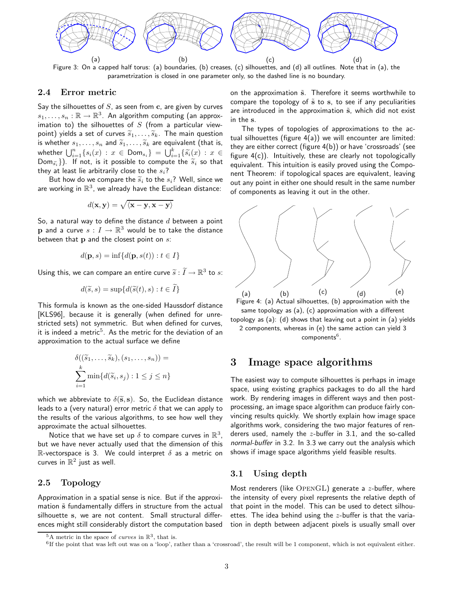

Figure 3: On a capped half torus: (a) boundaries, (b) creases, (c) silhouettes, and (d) all outlines. Note that in (a), the parametrization is closed in one parameter only, so the dashed line is no boundary.

### 2.4 Error metric

Say the silhouettes of  $S$ , as seen from  $c$ , are given by curves  $s_1, \ldots, s_n : \mathbb{R} \to \mathbb{R}^3$ . An algorithm computing (an approximation to) the silhouettes of  $S$  (from a particular viewpoint) yields a set of curves  $\widetilde{s}_1, \ldots, \widetilde{s}_k$ . The main question is whether  $s_1, \ldots, s_n$  and  $\widetilde{s}_1, \ldots, \widetilde{s}_k$  are equivalent (that is, whether  $\bigcup_{i=1}^n \{s_i(x) : x \in \textsf{Dom}_{s_i}\} = \bigcup_{i=1}^k \{\widetilde{s_i}(x) : x \in$  $\text{Dom}_{\widetilde{s_i}}\}$ ). If not, is it possible to compute the  $\widetilde{s}_i$  so that they at least lie arbitrarily close to the  $s_i$ ?

But how do we compare the  $\widetilde{s}_i$  to the  $s_i$ ? Well, since we are working in  $\mathbb{R}^3$ , we already have the Euclidean distance:

$$
d(\mathbf{x}, \mathbf{y}) = \sqrt{\langle \mathbf{x} - \mathbf{y}, \mathbf{x} - \mathbf{y} \rangle}
$$

So, a natural way to define the distance  $d$  between a point  $\mathbf p$  and a curve  $s: I \to \mathbb R^3$  would be to take the distance between that  $p$  and the closest point on  $s$ :

$$
d(\mathbf{p},s)=\inf\{d(\mathbf{p},s(t)):t\in I\}
$$

Using this, we can compare an entire curve  $\widetilde{s}:\widetilde{I}\to \mathbb{R}^3$  to  $s$ :

$$
d(\widetilde{s},s) = \sup \{ d(\widetilde{s}(t),s) : t \in \widetilde{I} \}
$$

This formula is known as the one-sided Haussdorf distance [KLS96], because it is generally (when defined for unrestricted sets) not symmetric. But when defined for curves, it is indeed a metric $^5$ . As the metric for the deviation of an approximation to the actual surface we define

$$
\delta((\widetilde{s}_1,\ldots,\widetilde{s}_k),(s_1,\ldots,s_n)) = \sum_{i=1}^k \min\{d(\widetilde{s}_i,s_j):1\leq j\leq n\}
$$

which we abbreviate to  $\delta(\tilde{s}, s)$ . So, the Euclidean distance leads to a (very natural) error metric  $\delta$  that we can apply to the results of the various algorithms, to see how well they approximate the actual silhouettes.

Notice that we have set up  $\delta$  to compare curves in  $\mathbb{R}^3$ , but we have never actually used that the dimension of this R-vectorspace is 3. We could interpret  $\delta$  as a metric on curves in  $\mathbb{R}^2$  just as well.

### 2.5 Topology

Approximation in a spatial sense is nice. But if the approximation  $\tilde{s}$  fundamentally differs in structure from the actual silhouette s, we are not content. Small structural differences might still considerably distort the computation based

on the approximation  $\tilde{s}$ . Therefore it seems worthwhile to compare the topology of  $\tilde{s}$  to s, to see if any peculiarities are introduced in the approximation  $\tilde{s}$ , which did not exist in the s.

The types of topologies of approximations to the actual silhouettes (figure 4(a)) we will encounter are limited: they are either correct (figure 4(b)) or have 'crossroads' (see figure  $4(c)$ ). Intuitively, these are clearly not topologically equivalent. This intuition is easily proved using the Component Theorem: if topological spaces are equivalent, leaving out any point in either one should result in the same number of components as leaving it out in the other.



Figure 4: (a) Actual silhouettes, (b) approximation with the same topology as (a), (c) approximation with a different topology as (a): (d) shows that leaving out a point in (a) yields 2 components, whereas in (e) the same action can yield 3 components $^6$  .

# 3 Image space algorithms

The easiest way to compute silhouettes is perhaps in image space, using existing graphics packages to do all the hard work. By rendering images in different ways and then postprocessing, an image space algorithm can produce fairly convincing results quickly. We shortly explain how image space algorithms work, considering the two major features of renderers used, namely the  $z$ -buffer in 3.1, and the so-called normal-buffer in 3.2. In 3.3 we carry out the analysis which shows if image space algorithms yield feasible results.

## 3.1 Using depth

Most renderers (like  $\text{OPENGL}$ ) generate a *z*-buffer, where the intensity of every pixel represents the relative depth of that point in the model. This can be used to detect silhouettes. The idea behind using the  $z$ -buffer is that the variation in depth between adjacent pixels is usually small over

<sup>&</sup>lt;sup>5</sup>A metric in the space of *curves* in  $\mathbb{R}^3$ , that is.

<sup>6</sup> If the point that was left out was on a 'loop', rather than a 'crossroad', the result will be 1 component, which is not equivalent either.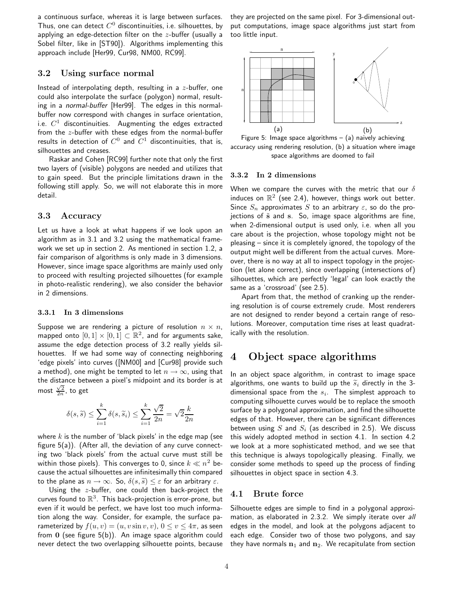a continuous surface, whereas it is large between surfaces. Thus, one can detect  $C^0$  discontinuities, i.e. silhouettes, by applying an edge-detection filter on the  $z$ -buffer (usually a Sobel filter, like in [ST90]). Algorithms implementing this approach include [Her99, Cur98, NM00, RC99].

## 3.2 Using surface normal

Instead of interpolating depth, resulting in a  $z$ -buffer, one could also interpolate the surface (polygon) normal, resulting in a normal-buffer [Her99]. The edges in this normalbuffer now correspond with changes in surface orientation, i.e.  $C^1$  discontinuities. Augmenting the edges extracted from the z-buffer with these edges from the normal-buffer results in detection of  $C^0$  and  $C^1$  discontinuities, that is, silhouettes and creases.

Raskar and Cohen [RC99] further note that only the first two layers of (visible) polygons are needed and utilizes that to gain speed. But the principle limitations drawn in the following still apply. So, we will not elaborate this in more detail.

## 3.3 Accuracy

Let us have a look at what happens if we look upon an algorithm as in 3.1 and 3.2 using the mathematical framework we set up in section 2. As mentioned in section 1.2, a fair comparison of algorithms is only made in 3 dimensions. However, since image space algorithms are mainly used only to proceed with resulting projected silhouettes (for example in photo-realistic rendering), we also consider the behavior in 2 dimensions.

#### 3.3.1 In 3 dimensions

Suppose we are rendering a picture of resolution  $n \times n$ , mapped onto  $[0,1] \times [0,1] \subset \mathbb{R}^2$ , and for arguments sake, assume the edge detection process of 3.2 really yields silhouettes. If we had some way of connecting neighboring 'edge pixels' into curves ([NM00] and [Cur98] provide such a method), one might be tempted to let  $n \to \infty$ , using that the distance between a pixel's midpoint and its border is at most  $\frac{\sqrt{2}}{2n}$ , to get

$$
\delta(s, \widetilde{s}) \leq \sum_{i=1}^k \delta(s, \widetilde{s}_i) \leq \sum_{i=1}^k \frac{\sqrt{2}}{2n} = \sqrt{2} \frac{k}{2n}
$$

where  $k$  is the number of 'black pixels' in the edge map (see figure 5(a)). (After all, the deviation of any curve connecting two 'black pixels' from the actual curve must still be within those pixels). This converges to 0, since  $k \ll n^2$  because the actual silhouettes are infinitesimally thin compared to the plane as  $n \to \infty$ . So,  $\delta(s, \tilde{s}) \leq \varepsilon$  for an arbitrary  $\varepsilon$ .

Using the  $z$ -buffer, one could then back-project the curves found to  $\mathbb{R}^3$ . This back-projection is error-prone, but even if it would be perfect, we have lost too much information along the way. Consider, for example, the surface parameterized by  $f(u, v) = (u, v \sin v, v), 0 \le v \le 4\pi$ , as seen from  $0$  (see figure  $5(b)$ ). An image space algorithm could never detect the two overlapping silhouette points, because they are projected on the same pixel. For 3-dimensional output computations, image space algorithms just start from too little input.



Figure 5: Image space algorithms  $-$  (a) naively achieving accuracy using rendering resolution, (b) a situation where image space algorithms are doomed to fail

#### 3.3.2 In 2 dimensions

When we compare the curves with the metric that our  $\delta$ induces on  $\mathbb{R}^2$  (see 2.4), however, things work out better. Since  $S_n$  approximates S to an arbitrary  $\varepsilon$ , so do the projections of  $\tilde{s}$  and s. So, image space algorithms are fine, when 2-dimensional output is used only, i.e. when all you care about is the projection, whose topology might not be pleasing – since it is completely ignored, the topology of the output might well be different from the actual curves. Moreover, there is no way at all to inspect topology in the projection (let alone correct), since overlapping (intersections of) silhouettes, which are perfectly 'legal' can look exactly the same as a 'crossroad' (see 2.5).

Apart from that, the method of cranking up the rendering resolution is of course extremely crude. Most renderers are not designed to render beyond a certain range of resolutions. Moreover, computation time rises at least quadratically with the resolution.

# 4 Object space algorithms

In an object space algorithm, in contrast to image space algorithms, one wants to build up the  $\widetilde{s}_i$  directly in the 3dimensional space from the  $s_i$ . The simplest approach to computing silhouette curves would be to replace the smooth surface by a polygonal approximation, and find the silhouette edges of that. However, there can be significant differences between using  $S$  and  $S_i$  (as described in 2.5). We discuss this widely adopted method in section 4.1. In section 4.2 we look at a more sophisticated method, and we see that this technique is always topologically pleasing. Finally, we consider some methods to speed up the process of finding silhouettes in object space in section 4.3.

## 4.1 Brute force

Silhouette edges are simple to find in a polygonal approximation, as elaborated in 2.3.2. We simply iterate over all edges in the model, and look at the polygons adjacent to each edge. Consider two of those two polygons, and say they have normals  $n_1$  and  $n_2$ . We recapitulate from section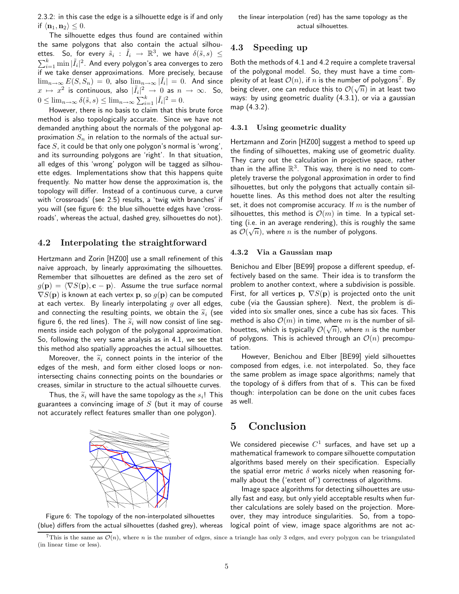2.3.2: in this case the edge is a silhouette edge is if and only if  $\langle n_1, n_2 \rangle \leq 0$ .

The silhouette edges thus found are contained within the same polygons that also contain the actual silhouettes. So, for every  $\tilde{s}_i$ :  $\tilde{I}_i \rightarrow \mathbb{R}^3$ , we have  $\delta(\tilde{s}, s) \leq$  $\sum_{i=1}^k \min |\tilde{I}_i|^2.$  And every polygon's area converges to zero if we take denser approximations. More precisely, because  $\lim_{n\to\infty} E(S, S_n) = 0$ , also  $\lim_{n\to\infty} |\tilde{I}_i| = 0$ . And since  $x \mapsto x^2$  is continuous, also  $|\tilde{I}_i|^2 \to 0$  as  $n \to \infty$ . So,  $0 \le \lim_{n \to \infty} \delta(\tilde{s}, s) \le \lim_{n \to \infty} \sum_{i=1}^{k} |\tilde{I}_i|^2 = 0.$ 

However, there is no basis to claim that this brute force method is also topologically accurate. Since we have not demanded anything about the normals of the polygonal approximation  $S_n$  in relation to the normals of the actual surface  $S$ , it could be that only one polygon's normal is 'wrong', and its surrounding polygons are 'right'. In that situation, all edges of this 'wrong' polygon will be tagged as silhouette edges. Implementations show that this happens quite frequently. No matter how dense the approximation is, the topology will differ. Instead of a continuous curve, a curve with 'crossroads' (see 2.5) results, a 'twig with branches' if you will (see figure 6: the blue silhouette edges have 'crossroads', whereas the actual, dashed grey, silhouettes do not).

### 4.2 Interpolating the straightforward

Hertzmann and Zorin [HZ00] use a small refinement of this naive approach, by linearly approximating the silhouettes. Remember that silhouettes are defined as the zero set of  $g(\mathbf{p}) = \langle \nabla S(\mathbf{p}), \mathbf{c} - \mathbf{p} \rangle$ . Assume the true surface normal  $\nabla S(\mathbf{p})$  is known at each vertex p, so  $q(\mathbf{p})$  can be computed at each vertex. By linearly interpolating  $g$  over all edges, and connecting the resulting points, we obtain the  $\widetilde{s}_i$  (see figure 6, the red lines). The  $\widetilde{s}_i$  will now consist of line segments inside each polygon of the polygonal approximation. So, following the very same analysis as in 4.1, we see that this method also spatially approaches the actual silhouettes.

Moreover, the  $\widetilde{s}_i$  connect points in the interior of the edges of the mesh, and form either closed loops or nonintersecting chains connecting points on the boundaries or creases, similar in structure to the actual silhouette curves.

Thus, the  $\widetilde{s}_i$  will have the same topology as the  $s_i!$  This guarantees a convincing image of  $S$  (but it may of course not accurately reflect features smaller than one polygon).





### 4.3 Speeding up

Both the methods of 4.1 and 4.2 require a complete traversal of the polygonal model. So, they must have a time complexity of at least  $\mathcal{O}(n)$ , if  $n$  is the number of polygons<sup>7</sup>. By being clever, one can reduce this to  $\mathcal{O}(\sqrt{n})$  in at least two ways: by using geometric duality (4.3.1), or via a gaussian map (4.3.2).

#### 4.3.1 Using geometric duality

Hertzmann and Zorin [HZ00] suggest a method to speed up the finding of silhouettes, making use of geometric duality. They carry out the calculation in projective space, rather than in the affine  $\mathbb{R}^3$ . This way, there is no need to completely traverse the polygonal approximation in order to find silhouettes, but only the polygons that actually contain silhouette lines. As this method does not alter the resulting set, it does not compromise accuracy. If  $m$  is the number of silhouettes, this method is  $\mathcal{O}(m)$  in time. In a typical setting (i.e. in an average rendering), this is roughly the same as  $\mathcal{O}(\sqrt{n})$ , where *n* is the number of polygons.

#### 4.3.2 Via a Gaussian map

Benichou and Elber [BE99] propose a different speedup, effectively based on the same. Their idea is to transform the problem to another context, where a subdivision is possible. First, for all vertices p,  $\nabla S(\mathbf{p})$  is projected onto the unit cube (via the Gaussian sphere). Next, the problem is divided into six smaller ones, since a cube has six faces. This method is also  $\mathcal{O}(m)$  in time, where m is the number of silhouettes, which is typically  $\mathcal{O}(\sqrt{n})$ , where n is the number of polygons. This is achieved through an  $\mathcal{O}(n)$  precomputation.

However, Benichou and Elber [BE99] yield silhouettes composed from edges, i.e. not interpolated. So, they face the same problem as image space algorithms; namely that the topology of  $\tilde{s}$  differs from that of s. This can be fixed though: interpolation can be done on the unit cubes faces as well.

# 5 Conclusion

We considered piecewise  $C^1$  surfaces, and have set up a mathematical framework to compare silhouette computation algorithms based merely on their specification. Especially the spatial error metric  $\delta$  works nicely when reasoning formally about the ('extent of') correctness of algorithms.

Image space algorithms for detecting silhouettes are usually fast and easy, but only yield acceptable results when further calculations are solely based on the projection. Moreover, they may introduce singularities. So, from a topological point of view, image space algorithms are not ac-

<sup>&</sup>lt;sup>7</sup>This is the same as  $\mathcal{O}(n)$ , where n is the number of edges, since a triangle has only 3 edges, and every polygon can be triangulated (in linear time or less).